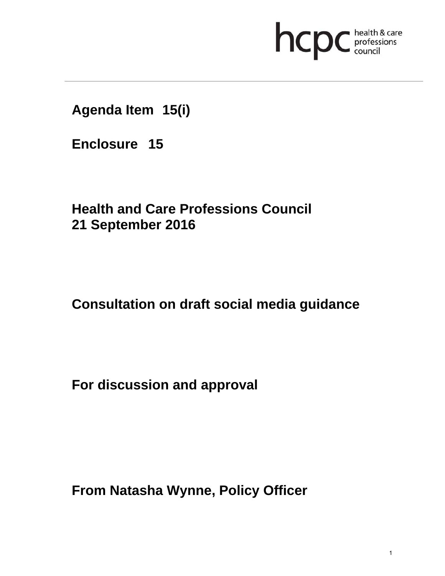

**Agenda Item 15(i)** 

**Enclosure 15**

**Health and Care Professions Council 21 September 2016**

# **Consultation on draft social media guidance**

**For discussion and approval** 

**From Natasha Wynne, Policy Officer**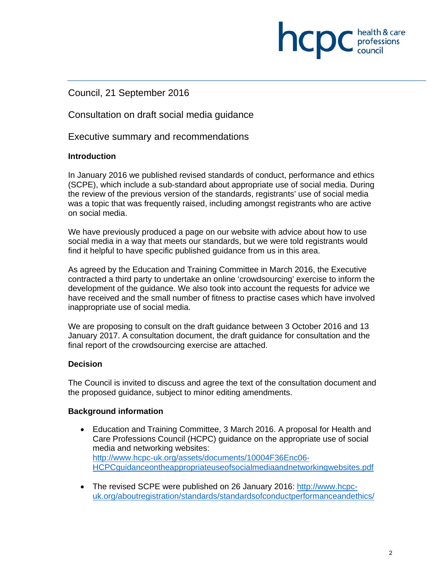### Council, 21 September 2016

Consultation on draft social media guidance

Executive summary and recommendations

### **Introduction**

In January 2016 we published revised standards of conduct, performance and ethics (SCPE), which include a sub-standard about appropriate use of social media. During the review of the previous version of the standards, registrants' use of social media was a topic that was frequently raised, including amongst registrants who are active on social media.

**INCID** C professions

We have previously produced a page on our website with advice about how to use social media in a way that meets our standards, but we were told registrants would find it helpful to have specific published guidance from us in this area.

As agreed by the Education and Training Committee in March 2016, the Executive contracted a third party to undertake an online 'crowdsourcing' exercise to inform the development of the guidance. We also took into account the requests for advice we have received and the small number of fitness to practise cases which have involved inappropriate use of social media.

We are proposing to consult on the draft guidance between 3 October 2016 and 13 January 2017. A consultation document, the draft guidance for consultation and the final report of the crowdsourcing exercise are attached.

#### **Decision**

The Council is invited to discuss and agree the text of the consultation document and the proposed guidance, subject to minor editing amendments.

#### **Background information**

- Education and Training Committee, 3 March 2016. A proposal for Health and Care Professions Council (HCPC) guidance on the appropriate use of social media and networking websites: http://www.hcpc-uk.org/assets/documents/10004F36Enc06- HCPCguidanceontheappropriateuseofsocialmediaandnetworkingwebsites.pdf
- The revised SCPE were published on 26 January 2016: http://www.hcpcuk.org/aboutregistration/standards/standardsofconductperformanceandethics/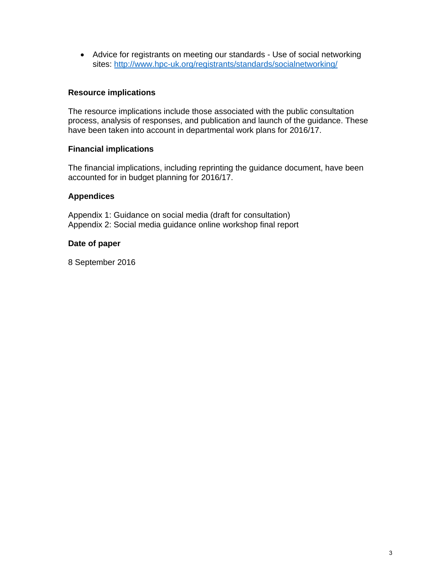Advice for registrants on meeting our standards - Use of social networking sites: http://www.hpc-uk.org/registrants/standards/socialnetworking/

### **Resource implications**

The resource implications include those associated with the public consultation process, analysis of responses, and publication and launch of the guidance. These have been taken into account in departmental work plans for 2016/17.

### **Financial implications**

The financial implications, including reprinting the guidance document, have been accounted for in budget planning for 2016/17.

### **Appendices**

Appendix 1: Guidance on social media (draft for consultation) Appendix 2: Social media guidance online workshop final report

### **Date of paper**

8 September 2016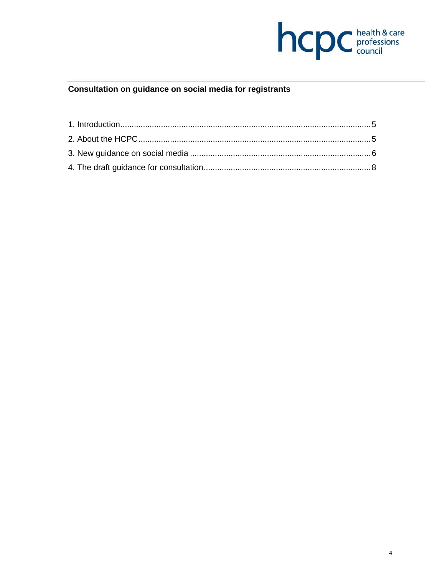

# Consultation on guidance on social media for registrants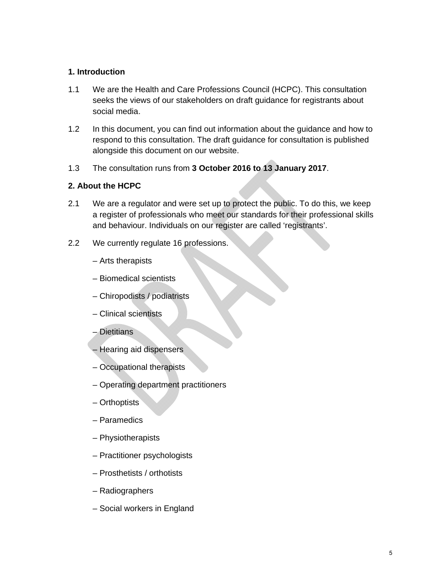### **1. Introduction**

- 1.1 We are the Health and Care Professions Council (HCPC). This consultation seeks the views of our stakeholders on draft guidance for registrants about social media.
- 1.2 In this document, you can find out information about the guidance and how to respond to this consultation. The draft guidance for consultation is published alongside this document on our website.
- 1.3 The consultation runs from **3 October 2016 to 13 January 2017**.

### **2. About the HCPC**

- 2.1 We are a regulator and were set up to protect the public. To do this, we keep a register of professionals who meet our standards for their professional skills and behaviour. Individuals on our register are called 'registrants'.
- 2.2 We currently regulate 16 professions.
	- Arts therapists
	- Biomedical scientists
	- Chiropodists / podiatrists
	- Clinical scientists
	- Dietitians
	- Hearing aid dispensers
	- Occupational therapists
	- Operating department practitioners
	- Orthoptists
	- Paramedics
	- Physiotherapists
	- Practitioner psychologists
	- Prosthetists / orthotists
	- Radiographers
	- Social workers in England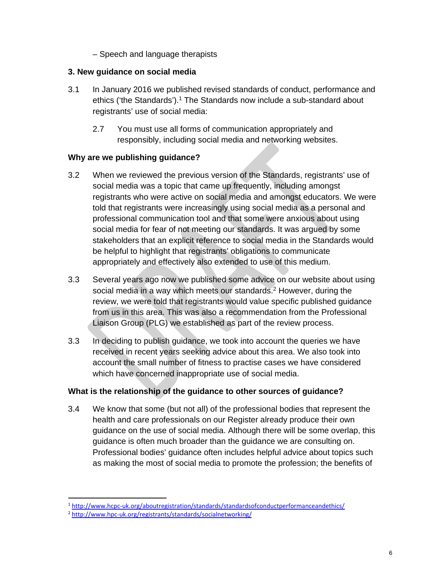– Speech and language therapists

### **3. New guidance on social media**

- 3.1 In January 2016 we published revised standards of conduct, performance and ethics ('the Standards').<sup>1</sup> The Standards now include a sub-standard about registrants' use of social media:
	- 2.7 You must use all forms of communication appropriately and responsibly, including social media and networking websites.

### **Why are we publishing guidance?**

- 3.2 When we reviewed the previous version of the Standards, registrants' use of social media was a topic that came up frequently, including amongst registrants who were active on social media and amongst educators. We were told that registrants were increasingly using social media as a personal and professional communication tool and that some were anxious about using social media for fear of not meeting our standards. It was argued by some stakeholders that an explicit reference to social media in the Standards would be helpful to highlight that registrants' obligations to communicate appropriately and effectively also extended to use of this medium.
- 3.3 Several years ago now we published some advice on our website about using social media in a way which meets our standards.<sup>2</sup> However, during the review, we were told that registrants would value specific published guidance from us in this area. This was also a recommendation from the Professional Liaison Group (PLG) we established as part of the review process.
- 3.3 In deciding to publish guidance, we took into account the queries we have received in recent years seeking advice about this area. We also took into account the small number of fitness to practise cases we have considered which have concerned inappropriate use of social media.

### **What is the relationship of the guidance to other sources of guidance?**

3.4 We know that some (but not all) of the professional bodies that represent the health and care professionals on our Register already produce their own guidance on the use of social media. Although there will be some overlap, this guidance is often much broader than the guidance we are consulting on. Professional bodies' guidance often includes helpful advice about topics such as making the most of social media to promote the profession; the benefits of

<sup>1</sup> http://www.hcpc-uk.org/aboutregistration/standards/standardsofconductperformanceandethics/

<sup>2</sup> http://www.hpc‐uk.org/registrants/standards/socialnetworking/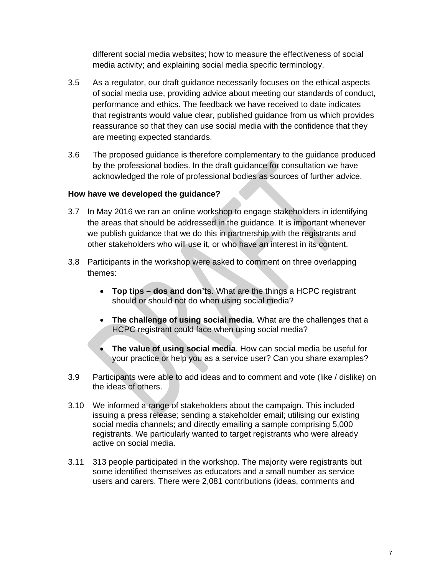different social media websites; how to measure the effectiveness of social media activity; and explaining social media specific terminology.

- 3.5 As a regulator, our draft guidance necessarily focuses on the ethical aspects of social media use, providing advice about meeting our standards of conduct, performance and ethics. The feedback we have received to date indicates that registrants would value clear, published guidance from us which provides reassurance so that they can use social media with the confidence that they are meeting expected standards.
- 3.6 The proposed guidance is therefore complementary to the guidance produced by the professional bodies. In the draft guidance for consultation we have acknowledged the role of professional bodies as sources of further advice.

### **How have we developed the guidance?**

- 3.7 In May 2016 we ran an online workshop to engage stakeholders in identifying the areas that should be addressed in the guidance. It is important whenever we publish guidance that we do this in partnership with the registrants and other stakeholders who will use it, or who have an interest in its content.
- 3.8 Participants in the workshop were asked to comment on three overlapping themes:
	- **Top tips dos and don'ts**. What are the things a HCPC registrant should or should not do when using social media?
	- **The challenge of using social media**. What are the challenges that a HCPC registrant could face when using social media?
	- **The value of using social media**. How can social media be useful for your practice or help you as a service user? Can you share examples?
- 3.9 Participants were able to add ideas and to comment and vote (like / dislike) on the ideas of others.
- 3.10 We informed a range of stakeholders about the campaign. This included issuing a press release; sending a stakeholder email; utilising our existing social media channels; and directly emailing a sample comprising 5,000 registrants. We particularly wanted to target registrants who were already active on social media.
- 3.11 313 people participated in the workshop. The majority were registrants but some identified themselves as educators and a small number as service users and carers. There were 2,081 contributions (ideas, comments and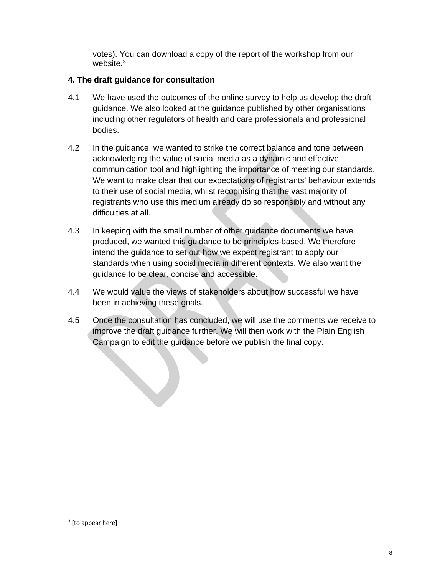votes). You can download a copy of the report of the workshop from our website.<sup>3</sup>

### **4. The draft guidance for consultation**

- 4.1 We have used the outcomes of the online survey to help us develop the draft guidance. We also looked at the guidance published by other organisations including other regulators of health and care professionals and professional bodies.
- 4.2 In the guidance, we wanted to strike the correct balance and tone between acknowledging the value of social media as a dynamic and effective communication tool and highlighting the importance of meeting our standards. We want to make clear that our expectations of registrants' behaviour extends to their use of social media, whilst recognising that the vast majority of registrants who use this medium already do so responsibly and without any difficulties at all.
- 4.3 In keeping with the small number of other guidance documents we have produced, we wanted this guidance to be principles-based. We therefore intend the guidance to set out how we expect registrant to apply our standards when using social media in different contexts. We also want the guidance to be clear, concise and accessible.
- 4.4 We would value the views of stakeholders about how successful we have been in achieving these goals.
- 4.5 Once the consultation has concluded, we will use the comments we receive to improve the draft guidance further. We will then work with the Plain English Campaign to edit the guidance before we publish the final copy.

 $3$  [to appear here]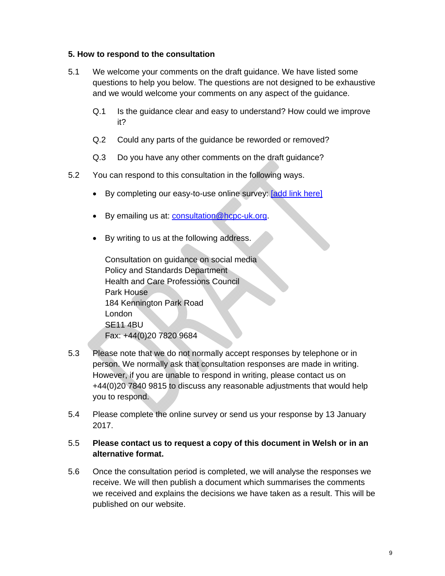### **5. How to respond to the consultation**

- 5.1 We welcome your comments on the draft guidance. We have listed some questions to help you below. The questions are not designed to be exhaustive and we would welcome your comments on any aspect of the guidance.
	- Q.1 Is the guidance clear and easy to understand? How could we improve it?
	- Q.2 Could any parts of the guidance be reworded or removed?
	- Q.3 Do you have any other comments on the draft guidance?
- 5.2 You can respond to this consultation in the following ways.
	- By completing our easy-to-use online survey: [add link here]
	- By emailing us at: consultation@hcpc-uk.org.
	- By writing to us at the following address.

Consultation on guidance on social media Policy and Standards Department Health and Care Professions Council Park House 184 Kennington Park Road London SE11 4BU Fax: +44(0)20 7820 9684

- 5.3 Please note that we do not normally accept responses by telephone or in person. We normally ask that consultation responses are made in writing. However, if you are unable to respond in writing, please contact us on +44(0)20 7840 9815 to discuss any reasonable adjustments that would help you to respond.
- 5.4 Please complete the online survey or send us your response by 13 January 2017.

### 5.5 **Please contact us to request a copy of this document in Welsh or in an alternative format.**

5.6 Once the consultation period is completed, we will analyse the responses we receive. We will then publish a document which summarises the comments we received and explains the decisions we have taken as a result. This will be published on our website.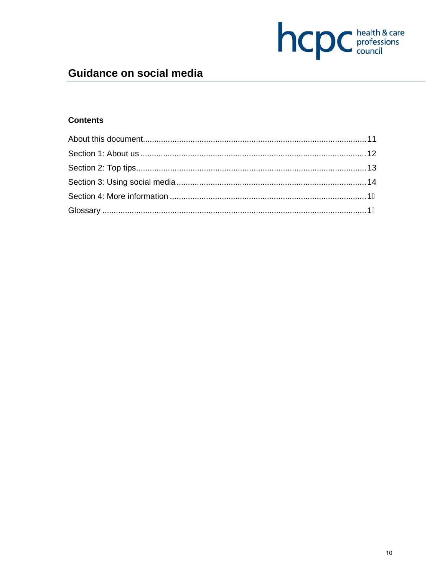

# **Guidance on social media**

### **Contents**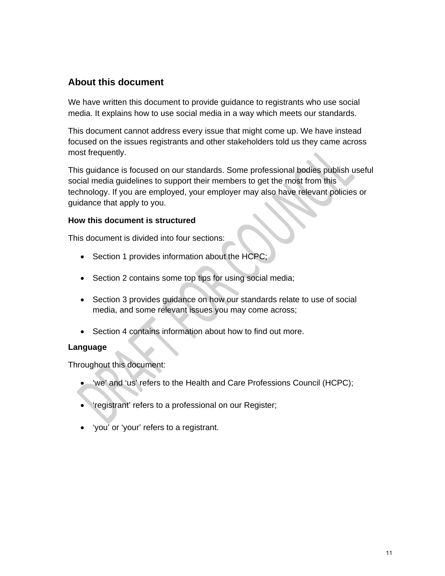### **About this document**

We have written this document to provide guidance to registrants who use social media. It explains how to use social media in a way which meets our standards.

This document cannot address every issue that might come up. We have instead focused on the issues registrants and other stakeholders told us they came across most frequently.

This guidance is focused on our standards. Some professional bodies publish useful social media guidelines to support their members to get the most from this technology. If you are employed, your employer may also have relevant policies or guidance that apply to you.

### **How this document is structured**

This document is divided into four sections:

- Section 1 provides information about the HCPC:
- Section 2 contains some top tips for using social media;
- Section 3 provides guidance on how our standards relate to use of social media, and some relevant issues you may come across;
- Section 4 contains information about how to find out more.

### **Language**

Throughout this document:

- 'we' and 'us' refers to the Health and Care Professions Council (HCPC);
- 'registrant' refers to a professional on our Register;
- 'you' or 'your' refers to a registrant.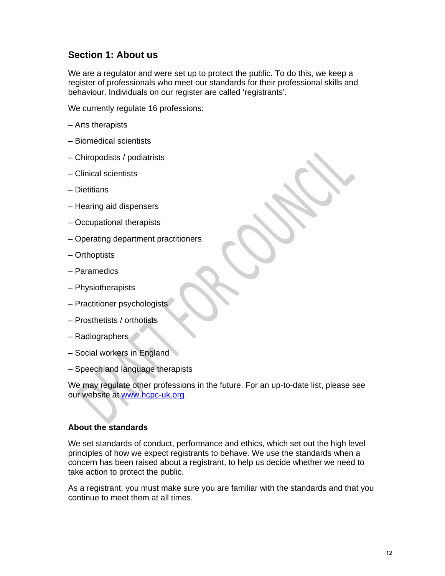### **Section 1: About us**

We are a regulator and were set up to protect the public. To do this, we keep a register of professionals who meet our standards for their professional skills and behaviour. Individuals on our register are called 'registrants'.

We currently regulate 16 professions:

- Arts therapists
- Biomedical scientists
- Chiropodists / podiatrists
- Clinical scientists
- Dietitians
- Hearing aid dispensers
- Occupational therapists
- Operating department practitioners
- Orthoptists
- Paramedics
- Physiotherapists
- Practitioner psychologists
- Prosthetists / orthotists
- Radiographers
- Social workers in England
- Speech and language therapists

We may regulate other professions in the future. For an up-to-date list, please see our website at www.hcpc-uk.org

### **About the standards**

We set standards of conduct, performance and ethics, which set out the high level principles of how we expect registrants to behave. We use the standards when a concern has been raised about a registrant, to help us decide whether we need to take action to protect the public.

As a registrant, you must make sure you are familiar with the standards and that you continue to meet them at all times.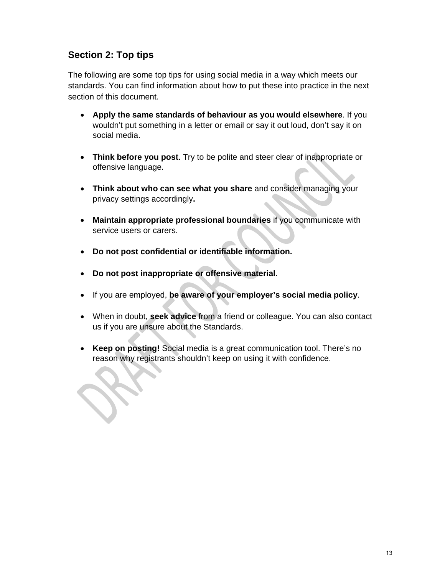# **Section 2: Top tips**

The following are some top tips for using social media in a way which meets our standards. You can find information about how to put these into practice in the next section of this document.

- **Apply the same standards of behaviour as you would elsewhere**. If you wouldn't put something in a letter or email or say it out loud, don't say it on social media.
- **Think before you post**. Try to be polite and steer clear of inappropriate or offensive language.
- **Think about who can see what you share** and consider managing your privacy settings accordingly**.**
- **Maintain appropriate professional boundaries** if you communicate with service users or carers.
- **Do not post confidential or identifiable information.**
- **Do not post inappropriate or offensive material**.
- If you are employed, **be aware of your employer's social media policy**.
- When in doubt, **seek advice** from a friend or colleague. You can also contact us if you are unsure about the Standards.
- **Keep on posting!** Social media is a great communication tool. There's no reason why registrants shouldn't keep on using it with confidence.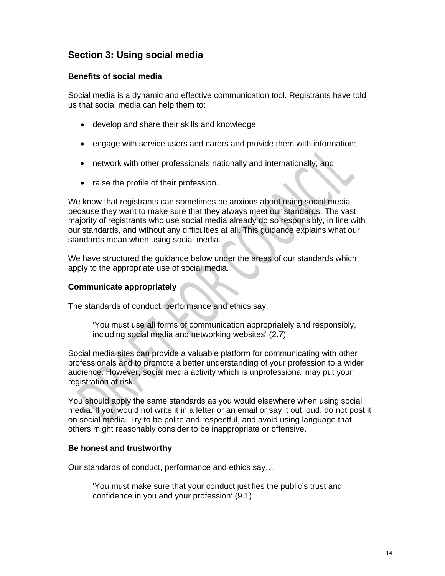### **Section 3: Using social media**

### **Benefits of social media**

Social media is a dynamic and effective communication tool. Registrants have told us that social media can help them to:

- develop and share their skills and knowledge;
- engage with service users and carers and provide them with information;
- network with other professionals nationally and internationally; and
- raise the profile of their profession.

We know that registrants can sometimes be anxious about using social media because they want to make sure that they always meet our standards. The vast majority of registrants who use social media already do so responsibly, in line with our standards, and without any difficulties at all. This guidance explains what our standards mean when using social media.

We have structured the guidance below under the areas of our standards which apply to the appropriate use of social media.

### **Communicate appropriately**

The standards of conduct, performance and ethics say:

'You must use all forms of communication appropriately and responsibly, including social media and networking websites' (2.7)

Social media sites can provide a valuable platform for communicating with other professionals and to promote a better understanding of your profession to a wider audience. However, social media activity which is unprofessional may put your registration at risk.

You should apply the same standards as you would elsewhere when using social media. If you would not write it in a letter or an email or say it out loud, do not post it on social media. Try to be polite and respectful, and avoid using language that others might reasonably consider to be inappropriate or offensive.

#### **Be honest and trustworthy**

Our standards of conduct, performance and ethics say…

'You must make sure that your conduct justifies the public's trust and confidence in you and your profession' (9.1)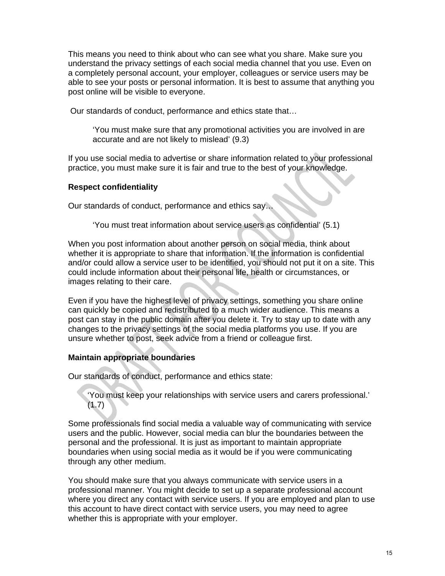This means you need to think about who can see what you share. Make sure you understand the privacy settings of each social media channel that you use. Even on a completely personal account, your employer, colleagues or service users may be able to see your posts or personal information. It is best to assume that anything you post online will be visible to everyone.

Our standards of conduct, performance and ethics state that…

'You must make sure that any promotional activities you are involved in are accurate and are not likely to mislead' (9.3)

If you use social media to advertise or share information related to your professional practice, you must make sure it is fair and true to the best of your knowledge.

### **Respect confidentiality**

Our standards of conduct, performance and ethics say…

'You must treat information about service users as confidential' (5.1)

When you post information about another person on social media, think about whether it is appropriate to share that information. If the information is confidential and/or could allow a service user to be identified, you should not put it on a site. This could include information about their personal life, health or circumstances, or images relating to their care.

Even if you have the highest level of privacy settings, something you share online can quickly be copied and redistributed to a much wider audience. This means a post can stay in the public domain after you delete it. Try to stay up to date with any changes to the privacy settings of the social media platforms you use. If you are unsure whether to post, seek advice from a friend or colleague first.

### **Maintain appropriate boundaries**

Our standards of conduct, performance and ethics state:

'You must keep your relationships with service users and carers professional.'  $(1.7)$ 

Some professionals find social media a valuable way of communicating with service users and the public. However, social media can blur the boundaries between the personal and the professional. It is just as important to maintain appropriate boundaries when using social media as it would be if you were communicating through any other medium.

You should make sure that you always communicate with service users in a professional manner. You might decide to set up a separate professional account where you direct any contact with service users. If you are employed and plan to use this account to have direct contact with service users, you may need to agree whether this is appropriate with your employer.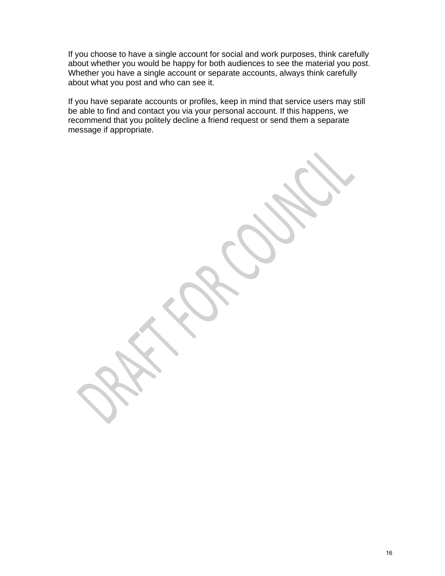If you choose to have a single account for social and work purposes, think carefully about whether you would be happy for both audiences to see the material you post. Whether you have a single account or separate accounts, always think carefully about what you post and who can see it.

If you have separate accounts or profiles, keep in mind that service users may still be able to find and contact you via your personal account. If this happens, we recommend that you politely decline a friend request or send them a separate message if appropriate.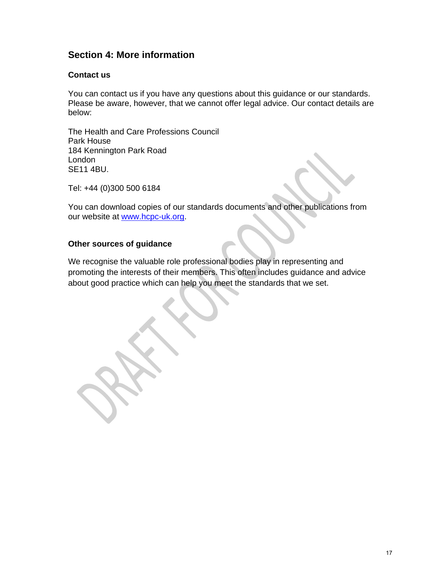### **Section 4: More information**

### **Contact us**

You can contact us if you have any questions about this guidance or our standards. Please be aware, however, that we cannot offer legal advice. Our contact details are below:

The Health and Care Professions Council Park House 184 Kennington Park Road London SE11 4BU.

Tel: +44 (0)300 500 6184

You can download copies of our standards documents and other publications from our website at www.hcpc-uk.org.

### **Other sources of guidance**

We recognise the valuable role professional bodies play in representing and promoting the interests of their members. This often includes guidance and advice about good practice which can help you meet the standards that we set.